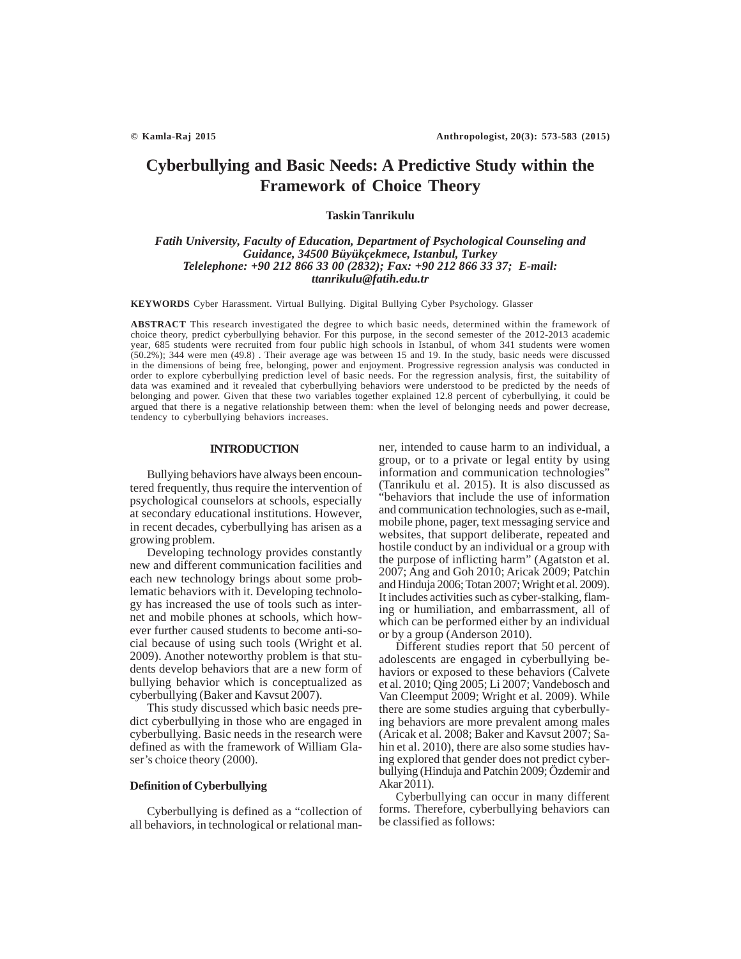# **Cyberbullying and Basic Needs: A Predictive Study within the Framework of Choice Theory**

# **Taskin Tanrikulu**

# *Fatih University, Faculty of Education, Department of Psychological Counseling and Guidance, 34500 Büyükçekmece, Istanbul, Turkey Telelephone: +90 212 866 33 00 (2832); Fax: +90 212 866 33 37; E-mail: ttanrikulu@fatih.edu.tr*

**KEYWORDS** Cyber Harassment. Virtual Bullying. Digital Bullying Cyber Psychology. Glasser

**ABSTRACT** This research investigated the degree to which basic needs, determined within the framework of choice theory, predict cyberbullying behavior. For this purpose, in the second semester of the 2012-2013 academic year, 685 students were recruited from four public high schools in Istanbul, of whom 341 students were women (50.2%); 344 were men (49.8) . Their average age was between 15 and 19. In the study, basic needs were discussed in the dimensions of being free, belonging, power and enjoyment. Progressive regression analysis was conducted in order to explore cyberbullying prediction level of basic needs. For the regression analysis, first, the suitability of data was examined and it revealed that cyberbullying behaviors were understood to be predicted by the needs of belonging and power. Given that these two variables together explained 12.8 percent of cyberbullying, it could be argued that there is a negative relationship between them: when the level of belonging needs and power decrease, tendency to cyberbullying behaviors increases.

## **INTRODUCTION**

Bullying behaviors have always been encountered frequently, thus require the intervention of psychological counselors at schools, especially at secondary educational institutions. However, in recent decades, cyberbullying has arisen as a growing problem.

Developing technology provides constantly new and different communication facilities and each new technology brings about some problematic behaviors with it. Developing technology has increased the use of tools such as internet and mobile phones at schools, which however further caused students to become anti-social because of using such tools (Wright et al. 2009). Another noteworthy problem is that students develop behaviors that are a new form of bullying behavior which is conceptualized as cyberbullying (Baker and Kavsut 2007).

This study discussed which basic needs predict cyberbullying in those who are engaged in cyberbullying. Basic needs in the research were defined as with the framework of William Glaser's choice theory (2000).

## **Definition of Cyberbullying**

Cyberbullying is defined as a "collection of all behaviors, in technological or relational manner, intended to cause harm to an individual, a group, or to a private or legal entity by using information and communication technologies' (Tanrikulu et al. 2015). It is also discussed as "behaviors that include the use of information and communication technologies, such as e-mail, mobile phone, pager, text messaging service and websites, that support deliberate, repeated and hostile conduct by an individual or a group with the purpose of inflicting harm" (Agatston et al. 2007; Ang and Goh 2010; Aricak 2009; Patchin and Hinduja 2006; Totan 2007; Wright et al. 2009). It includes activities such as cyber-stalking, flaming or humiliation, and embarrassment, all of which can be performed either by an individual or by a group (Anderson 2010).

Different studies report that 50 percent of adolescents are engaged in cyberbullying behaviors or exposed to these behaviors (Calvete et al. 2010; Qing 2005; Li 2007; Vandebosch and Van Cleemput 2009; Wright et al. 2009). While there are some studies arguing that cyberbullying behaviors are more prevalent among males (Aricak et al. 2008; Baker and Kavsut 2007; Sahin et al. 2010), there are also some studies having explored that gender does not predict cyberbullying (Hinduja and Patchin 2009; Özdemir and Akar 2011).

Cyberbullying can occur in many different forms. Therefore, cyberbullying behaviors can be classified as follows: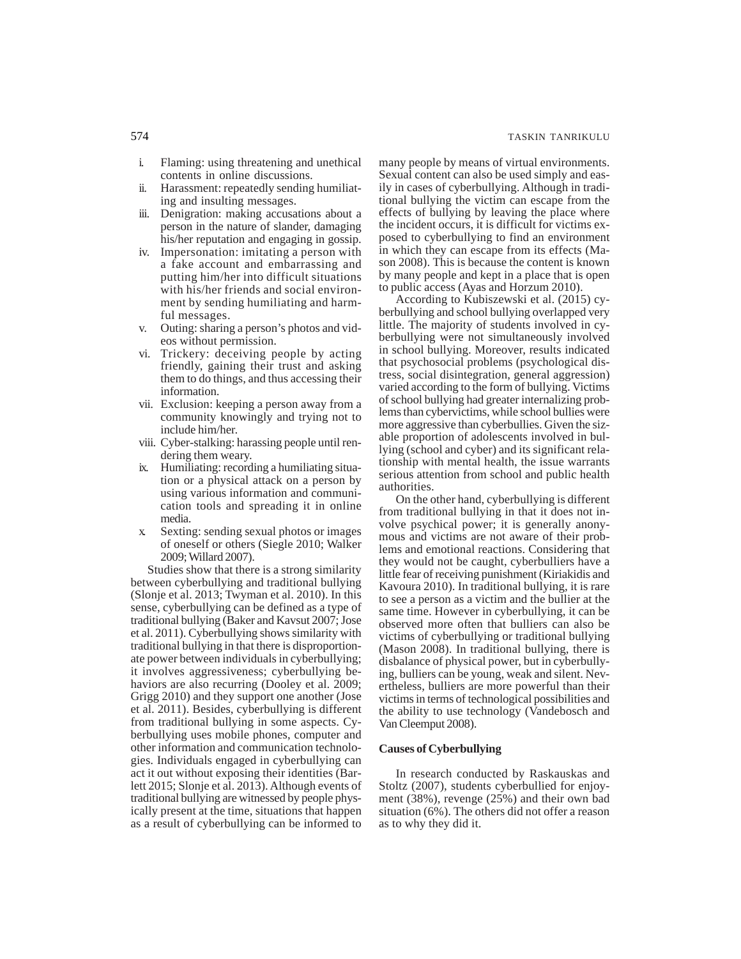- i. Flaming: using threatening and unethical contents in online discussions.
- ii. Harassment: repeatedly sending humiliating and insulting messages.
- iii. Denigration: making accusations about a person in the nature of slander, damaging his/her reputation and engaging in gossip.
- iv. Impersonation: imitating a person with a fake account and embarrassing and putting him/her into difficult situations with his/her friends and social environment by sending humiliating and harmful messages.
- v. Outing: sharing a person's photos and videos without permission.
- vi. Trickery: deceiving people by acting friendly, gaining their trust and asking them to do things, and thus accessing their information.
- vii. Exclusion: keeping a person away from a community knowingly and trying not to include him/her.
- viii. Cyber-stalking: harassing people until rendering them weary.
- ix. Humiliating: recording a humiliating situation or a physical attack on a person by using various information and communication tools and spreading it in online media.
- x. Sexting: sending sexual photos or images of oneself or others (Siegle 2010; Walker 2009; Willard 2007).

Studies show that there is a strong similarity between cyberbullying and traditional bullying (Slonje et al. 2013; Twyman et al. 2010). In this sense, cyberbullying can be defined as a type of traditional bullying (Baker and Kavsut 2007; Jose et al. 2011). Cyberbullying shows similarity with traditional bullying in that there is disproportionate power between individuals in cyberbullying; it involves aggressiveness; cyberbullying behaviors are also recurring (Dooley et al. 2009; Grigg 2010) and they support one another (Jose et al. 2011). Besides, cyberbullying is different from traditional bullying in some aspects. Cyberbullying uses mobile phones, computer and other information and communication technologies. Individuals engaged in cyberbullying can act it out without exposing their identities (Barlett 2015; Slonje et al. 2013). Although events of traditional bullying are witnessed by people physically present at the time, situations that happen as a result of cyberbullying can be informed to

many people by means of virtual environments. Sexual content can also be used simply and easily in cases of cyberbullying. Although in traditional bullying the victim can escape from the effects of bullying by leaving the place where the incident occurs, it is difficult for victims exposed to cyberbullying to find an environment in which they can escape from its effects (Mason 2008). This is because the content is known by many people and kept in a place that is open to public access (Ayas and Horzum 2010).

According to Kubiszewski et al. (2015) cyberbullying and school bullying overlapped very little. The majority of students involved in cyberbullying were not simultaneously involved in school bullying. Moreover, results indicated that psychosocial problems (psychological distress, social disintegration, general aggression) varied according to the form of bullying. Victims of school bullying had greater internalizing problems than cybervictims, while school bullies were more aggressive than cyberbullies. Given the sizable proportion of adolescents involved in bullying (school and cyber) and its significant relationship with mental health, the issue warrants serious attention from school and public health authorities.

On the other hand, cyberbullying is different from traditional bullying in that it does not involve psychical power; it is generally anonymous and victims are not aware of their problems and emotional reactions. Considering that they would not be caught, cyberbulliers have a little fear of receiving punishment (Kiriakidis and Kavoura 2010). In traditional bullying, it is rare to see a person as a victim and the bullier at the same time. However in cyberbullying, it can be observed more often that bulliers can also be victims of cyberbullying or traditional bullying (Mason 2008). In traditional bullying, there is disbalance of physical power, but in cyberbullying, bulliers can be young, weak and silent. Nevertheless, bulliers are more powerful than their victims in terms of technological possibilities and the ability to use technology (Vandebosch and Van Cleemput 2008).

## **Causes of Cyberbullying**

In research conducted by Raskauskas and Stoltz (2007), students cyberbullied for enjoyment (38%), revenge (25%) and their own bad situation (6%). The others did not offer a reason as to why they did it.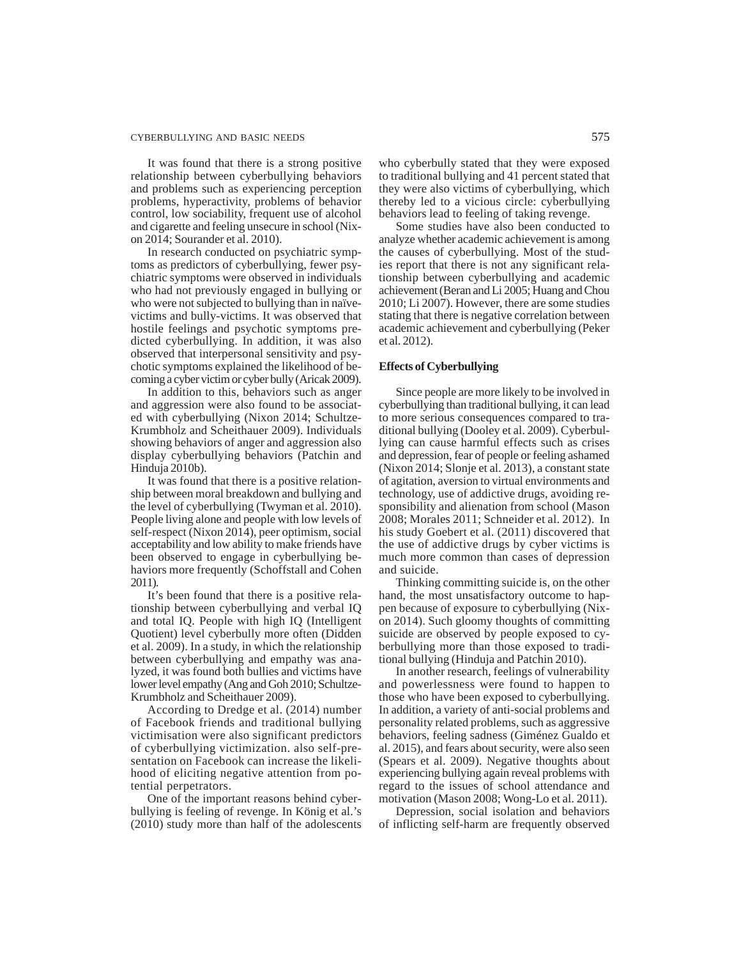#### CYBERBULLYING AND BASIC NEEDS 575

It was found that there is a strong positive relationship between cyberbullying behaviors and problems such as experiencing perception problems, hyperactivity, problems of behavior control, low sociability, frequent use of alcohol and cigarette and feeling unsecure in school (Nixon 2014; Sourander et al. 2010).

In research conducted on psychiatric symptoms as predictors of cyberbullying, fewer psychiatric symptoms were observed in individuals who had not previously engaged in bullying or who were not subjected to bullying than in naïvevictims and bully-victims. It was observed that hostile feelings and psychotic symptoms predicted cyberbullying. In addition, it was also observed that interpersonal sensitivity and psychotic symptoms explained the likelihood of becoming a cyber victim or cyber bully (Aricak 2009).

In addition to this, behaviors such as anger and aggression were also found to be associated with cyberbullying (Nixon 2014; Schultze-Krumbholz and Scheithauer 2009). Individuals showing behaviors of anger and aggression also display cyberbullying behaviors (Patchin and Hinduja 2010b).

It was found that there is a positive relationship between moral breakdown and bullying and the level of cyberbullying (Twyman et al. 2010). People living alone and people with low levels of self-respect (Nixon 2014), peer optimism, social acceptability and low ability to make friends have been observed to engage in cyberbullying behaviors more frequently (Schoffstall and Cohen 2011).

It's been found that there is a positive relationship between cyberbullying and verbal IQ and total IQ. People with high IQ (Intelligent Quotient) level cyberbully more often (Didden et al. 2009). In a study, in which the relationship between cyberbullying and empathy was analyzed, it was found both bullies and victims have lower level empathy (Ang and Goh 2010; Schultze-Krumbholz and Scheithauer 2009).

According to Dredge et al. (2014) number of Facebook friends and traditional bullying victimisation were also significant predictors of cyberbullying victimization. also self-presentation on Facebook can increase the likelihood of eliciting negative attention from potential perpetrators.

One of the important reasons behind cyberbullying is feeling of revenge. In König et al.'s (2010) study more than half of the adolescents who cyberbully stated that they were exposed to traditional bullying and 41 percent stated that they were also victims of cyberbullying, which thereby led to a vicious circle: cyberbullying behaviors lead to feeling of taking revenge.

Some studies have also been conducted to analyze whether academic achievement is among the causes of cyberbullying. Most of the studies report that there is not any significant relationship between cyberbullying and academic achievement (Beran and Li 2005; Huang and Chou 2010; Li 2007). However, there are some studies stating that there is negative correlation between academic achievement and cyberbullying (Peker et al. 2012).

## **Effects of Cyberbullying**

Since people are more likely to be involved in cyberbullying than traditional bullying, it can lead to more serious consequences compared to traditional bullying (Dooley et al. 2009). Cyberbullying can cause harmful effects such as crises and depression, fear of people or feeling ashamed (Nixon 2014; Slonje et al. 2013), a constant state of agitation, aversion to virtual environments and technology, use of addictive drugs, avoiding responsibility and alienation from school (Mason 2008; Morales 2011; Schneider et al. 2012). In his study Goebert et al. (2011) discovered that the use of addictive drugs by cyber victims is much more common than cases of depression and suicide.

Thinking committing suicide is, on the other hand, the most unsatisfactory outcome to happen because of exposure to cyberbullying (Nixon 2014). Such gloomy thoughts of committing suicide are observed by people exposed to cyberbullying more than those exposed to traditional bullying (Hinduja and Patchin 2010).

In another research, feelings of vulnerability and powerlessness were found to happen to those who have been exposed to cyberbullying. In addition, a variety of anti-social problems and personality related problems, such as aggressive behaviors, feeling sadness (Giménez Gualdo et al. 2015), and fears about security, were also seen (Spears et al. 2009). Negative thoughts about experiencing bullying again reveal problems with regard to the issues of school attendance and motivation (Mason 2008; Wong-Lo et al. 2011).

Depression, social isolation and behaviors of inflicting self-harm are frequently observed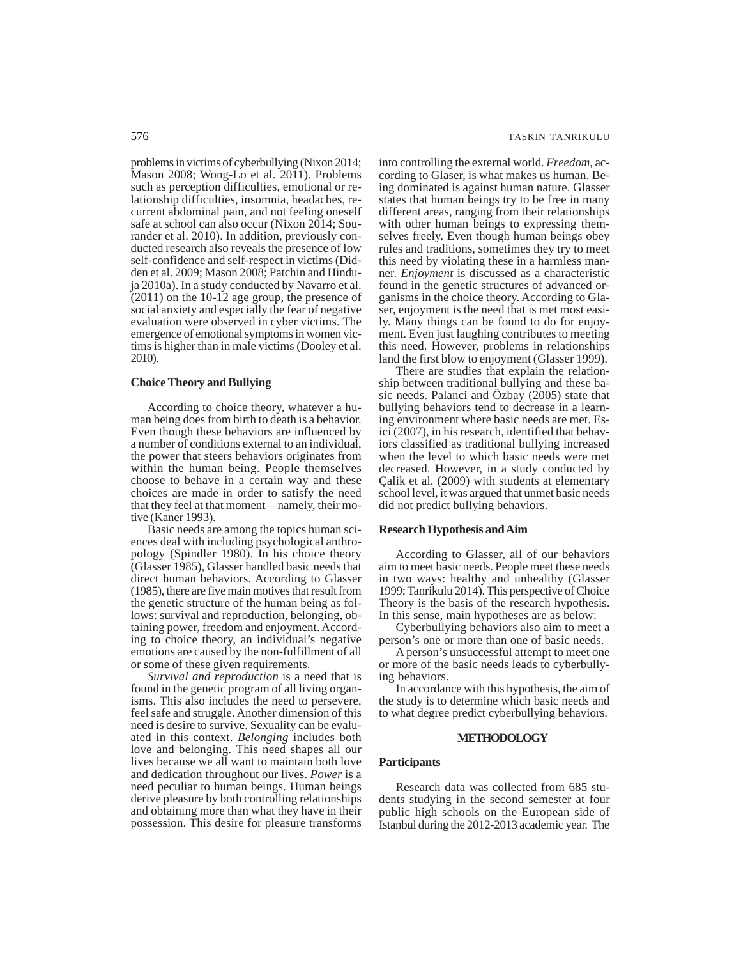problems in victims of cyberbullying (Nixon 2014; Mason 2008; Wong-Lo et al. 2011). Problems such as perception difficulties, emotional or relationship difficulties, insomnia, headaches, recurrent abdominal pain, and not feeling oneself safe at school can also occur (Nixon 2014; Sourander et al. 2010). In addition, previously conducted research also reveals the presence of low self-confidence and self-respect in victims (Didden et al. 2009; Mason 2008; Patchin and Hinduja 2010a). In a study conducted by Navarro et al. (2011) on the 10-12 age group, the presence of social anxiety and especially the fear of negative evaluation were observed in cyber victims. The emergence of emotional symptoms in women victims is higher than in male victims (Dooley et al. 2010).

#### **Choice Theory and Bullying**

According to choice theory, whatever a human being does from birth to death is a behavior. Even though these behaviors are influenced by a number of conditions external to an individual, the power that steers behaviors originates from within the human being. People themselves choose to behave in a certain way and these choices are made in order to satisfy the need that they feel at that moment—namely, their motive (Kaner 1993).

Basic needs are among the topics human sciences deal with including psychological anthropology (Spindler 1980). In his choice theory (Glasser 1985), Glasser handled basic needs that direct human behaviors. According to Glasser (1985), there are five main motives that result from the genetic structure of the human being as follows: survival and reproduction, belonging, obtaining power, freedom and enjoyment. According to choice theory, an individual's negative emotions are caused by the non-fulfillment of all or some of these given requirements.

*Survival and reproduction* is a need that is found in the genetic program of all living organisms. This also includes the need to persevere, feel safe and struggle. Another dimension of this need is desire to survive. Sexuality can be evaluated in this context. *Belonging* includes both love and belonging. This need shapes all our lives because we all want to maintain both love and dedication throughout our lives. *Power* is a need peculiar to human beings. Human beings derive pleasure by both controlling relationships and obtaining more than what they have in their possession. This desire for pleasure transforms

into controlling the external world. *Freedom*, according to Glaser, is what makes us human. Being dominated is against human nature. Glasser states that human beings try to be free in many different areas, ranging from their relationships with other human beings to expressing themselves freely. Even though human beings obey rules and traditions, sometimes they try to meet this need by violating these in a harmless manner. *Enjoyment* is discussed as a characteristic found in the genetic structures of advanced organisms in the choice theory. According to Glaser, enjoyment is the need that is met most easily. Many things can be found to do for enjoyment. Even just laughing contributes to meeting this need. However, problems in relationships land the first blow to enjoyment (Glasser 1999).

There are studies that explain the relationship between traditional bullying and these basic needs. Palanci and Özbay (2005) state that bullying behaviors tend to decrease in a learning environment where basic needs are met. Esici (2007), in his research, identified that behaviors classified as traditional bullying increased when the level to which basic needs were met decreased. However, in a study conducted by Çalik et al. (2009) with students at elementary school level, it was argued that unmet basic needs did not predict bullying behaviors.

#### **Research Hypothesis and Aim**

According to Glasser, all of our behaviors aim to meet basic needs. People meet these needs in two ways: healthy and unhealthy (Glasser 1999; Tanrikulu 2014). This perspective of Choice Theory is the basis of the research hypothesis. In this sense, main hypotheses are as below:

Cyberbullying behaviors also aim to meet a person's one or more than one of basic needs.

A person's unsuccessful attempt to meet one or more of the basic needs leads to cyberbullying behaviors.

In accordance with this hypothesis, the aim of the study is to determine which basic needs and to what degree predict cyberbullying behaviors.

#### **METHODOLOGY**

#### **Participants**

Research data was collected from 685 students studying in the second semester at four public high schools on the European side of Istanbul during the 2012-2013 academic year. The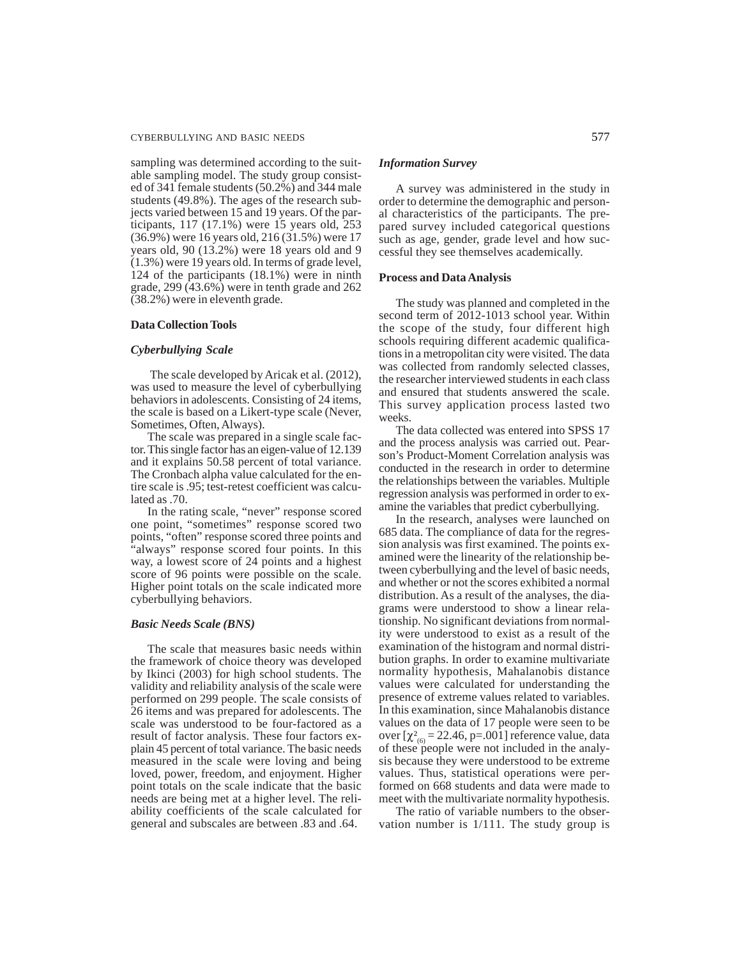#### CYBERBULLYING AND BASIC NEEDS 577

sampling was determined according to the suitable sampling model. The study group consisted of 341 female students (50.2%) and 344 male students (49.8%). The ages of the research subjects varied between 15 and 19 years. Of the participants, 117 (17.1%) were 15 years old, 253 (36.9%) were 16 years old, 216 (31.5%) were 17 years old, 90 (13.2%) were 18 years old and 9 (1.3%) were 19 years old. In terms of grade level, 124 of the participants (18.1%) were in ninth grade, 299  $(43.6\%)$  were in tenth grade and 262 (38.2%) were in eleventh grade.

## **Data Collection Tools**

## *Cyberbullying Scale*

The scale developed by Aricak et al. (2012), was used to measure the level of cyberbullying behaviors in adolescents. Consisting of 24 items, the scale is based on a Likert-type scale (Never, Sometimes, Often, Always).

The scale was prepared in a single scale factor. This single factor has an eigen-value of 12.139 and it explains 50.58 percent of total variance. The Cronbach alpha value calculated for the entire scale is .95; test-retest coefficient was calculated as .70.

In the rating scale, "never" response scored one point, "sometimes" response scored two points, "often" response scored three points and "always" response scored four points. In this way, a lowest score of 24 points and a highest score of 96 points were possible on the scale. Higher point totals on the scale indicated more cyberbullying behaviors.

#### *Basic Needs Scale (BNS)*

The scale that measures basic needs within the framework of choice theory was developed by Ikinci (2003) for high school students. The validity and reliability analysis of the scale were performed on 299 people. The scale consists of 26 items and was prepared for adolescents. The scale was understood to be four-factored as a result of factor analysis. These four factors explain 45 percent of total variance. The basic needs measured in the scale were loving and being loved, power, freedom, and enjoyment. Higher point totals on the scale indicate that the basic needs are being met at a higher level. The reliability coefficients of the scale calculated for general and subscales are between .83 and .64.

#### *Information Survey*

A survey was administered in the study in order to determine the demographic and personal characteristics of the participants. The prepared survey included categorical questions such as age, gender, grade level and how successful they see themselves academically.

## **Process and Data Analysis**

The study was planned and completed in the second term of 2012-1013 school year. Within the scope of the study, four different high schools requiring different academic qualifications in a metropolitan city were visited. The data was collected from randomly selected classes, the researcher interviewed students in each class and ensured that students answered the scale. This survey application process lasted two weeks.

The data collected was entered into SPSS 17 and the process analysis was carried out. Pearson's Product-Moment Correlation analysis was conducted in the research in order to determine the relationships between the variables. Multiple regression analysis was performed in order to examine the variables that predict cyberbullying.

In the research, analyses were launched on 685 data. The compliance of data for the regression analysis was first examined. The points examined were the linearity of the relationship between cyberbullying and the level of basic needs, and whether or not the scores exhibited a normal distribution. As a result of the analyses, the diagrams were understood to show a linear relationship. No significant deviations from normality were understood to exist as a result of the examination of the histogram and normal distribution graphs. In order to examine multivariate normality hypothesis, Mahalanobis distance values were calculated for understanding the presence of extreme values related to variables. In this examination, since Mahalanobis distance values on the data of 17 people were seen to be over  $[\chi^2_{(6)} = 22.46, p=.001]$  reference value, data of these people were not included in the analysis because they were understood to be extreme values. Thus, statistical operations were performed on 668 students and data were made to meet with the multivariate normality hypothesis.

The ratio of variable numbers to the observation number is 1/111. The study group is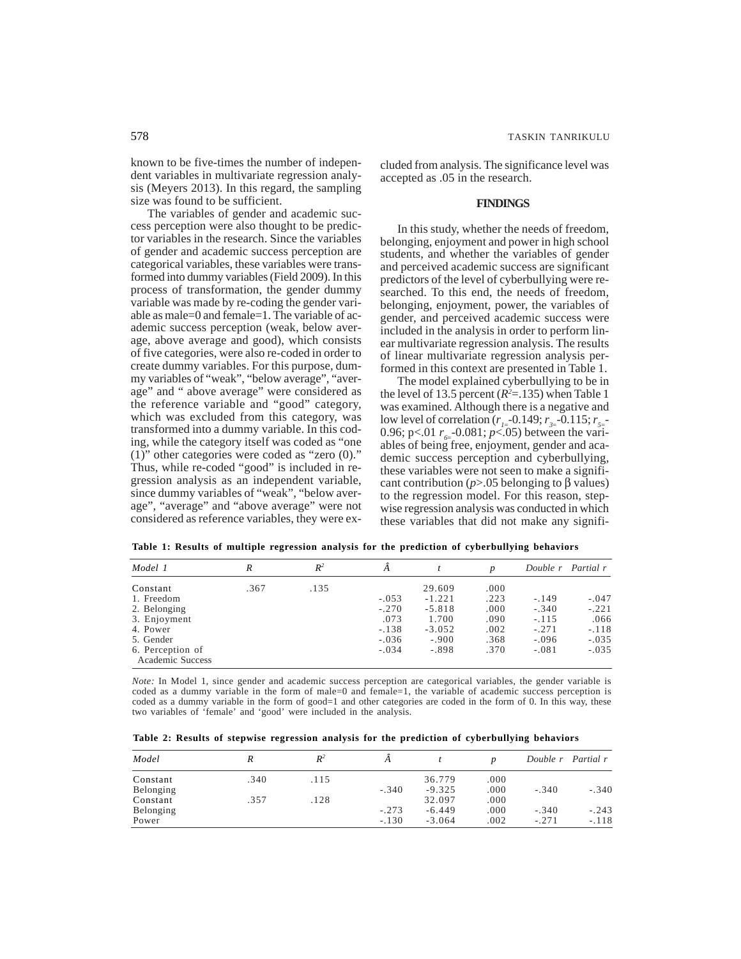known to be five-times the number of independent variables in multivariate regression analysis (Meyers 2013). In this regard, the sampling size was found to be sufficient.

The variables of gender and academic success perception were also thought to be predictor variables in the research. Since the variables of gender and academic success perception are categorical variables, these variables were transformed into dummy variables (Field 2009). In this process of transformation, the gender dummy variable was made by re-coding the gender variable as male=0 and female=1. The variable of academic success perception (weak, below average, above average and good), which consists of five categories, were also re-coded in order to create dummy variables. For this purpose, dummy variables of "weak", "below average", "average" and " above average" were considered as the reference variable and "good" category, which was excluded from this category, was transformed into a dummy variable. In this coding, while the category itself was coded as "one  $(1)$ " other categories were coded as "zero  $(0)$ ." Thus, while re-coded "good" is included in regression analysis as an independent variable, since dummy variables of "weak", "below average", "average" and "above average" were not considered as reference variables, they were excluded from analysis. The significance level was accepted as .05 in the research.

## **FINDINGS**

In this study, whether the needs of freedom, belonging, enjoyment and power in high school students, and whether the variables of gender and perceived academic success are significant predictors of the level of cyberbullying were researched. To this end, the needs of freedom, belonging, enjoyment, power, the variables of gender, and perceived academic success were included in the analysis in order to perform linear multivariate regression analysis. The results of linear multivariate regression analysis performed in this context are presented in Table 1.

The model explained cyberbullying to be in the level of 13.5 percent  $(R^2=135)$  when Table 1 was examined. Although there is a negative and low level of correlation ( $r_{1}$ = 0.149;  $r_{3}$ = 0.115;  $r_{5}$ = 0.96;  $p<0.01 r_{6} = 0.081; p<0.05$  between the variables of being free, enjoyment, gender and academic success perception and cyberbullying, these variables were not seen to make a significant contribution (*p*>.05 belonging to β values) to the regression model. For this reason, stepwise regression analysis was conducted in which these variables that did not make any signifi-

| Model 1          | R    | $R^2$ |         |          | D    |         | Double r Partial r |
|------------------|------|-------|---------|----------|------|---------|--------------------|
| Constant         | .367 | .135  |         | 29.609   | .000 |         |                    |
| 1. Freedom       |      |       | $-.053$ | $-1.221$ | .223 | $-.149$ | $-.047$            |
| 2. Belonging     |      |       | $-.270$ | $-5.818$ | .000 | $-.340$ | $-.221$            |
| 3. Enjoyment     |      |       | .073    | 1.700    | .090 | $-.115$ | .066               |
| 4. Power         |      |       | $-.138$ | $-3.052$ | .002 | $-.271$ | $-.118$            |
| 5. Gender        |      |       | $-.036$ | $-.900$  | .368 | $-.096$ | $-.035$            |
| 6. Perception of |      |       | $-.034$ | $-.898$  | .370 | $-.081$ | $-.035$            |
| Academic Success |      |       |         |          |      |         |                    |

**Table 1: Results of multiple regression analysis for the prediction of cyberbullying behaviors**

*Note:* In Model 1, since gender and academic success perception are categorical variables, the gender variable is coded as a dummy variable in the form of male=0 and female=1, the variable of academic success perception is coded as a dummy variable in the form of good=1 and other categories are coded in the form of 0. In this way, these two variables of 'female' and 'good' were included in the analysis.

**Table 2: Results of stepwise regression analysis for the prediction of cyberbullying behaviors**

| Model     | R    | $R^2$ |         |          |      | Double r | Partial r |
|-----------|------|-------|---------|----------|------|----------|-----------|
| Constant  | .340 | .115  |         | 36.779   | .000 |          |           |
| Belonging |      |       | $-.340$ | $-9.325$ | .000 | $-.340$  | $-.340$   |
| Constant  | .357 | .128  |         | 32.097   | .000 |          |           |
| Belonging |      |       | $-.273$ | $-6.449$ | .000 | $-.340$  | $-.243$   |
| Power     |      |       | $-.130$ | $-3.064$ | .002 | $-.271$  | $-.118$   |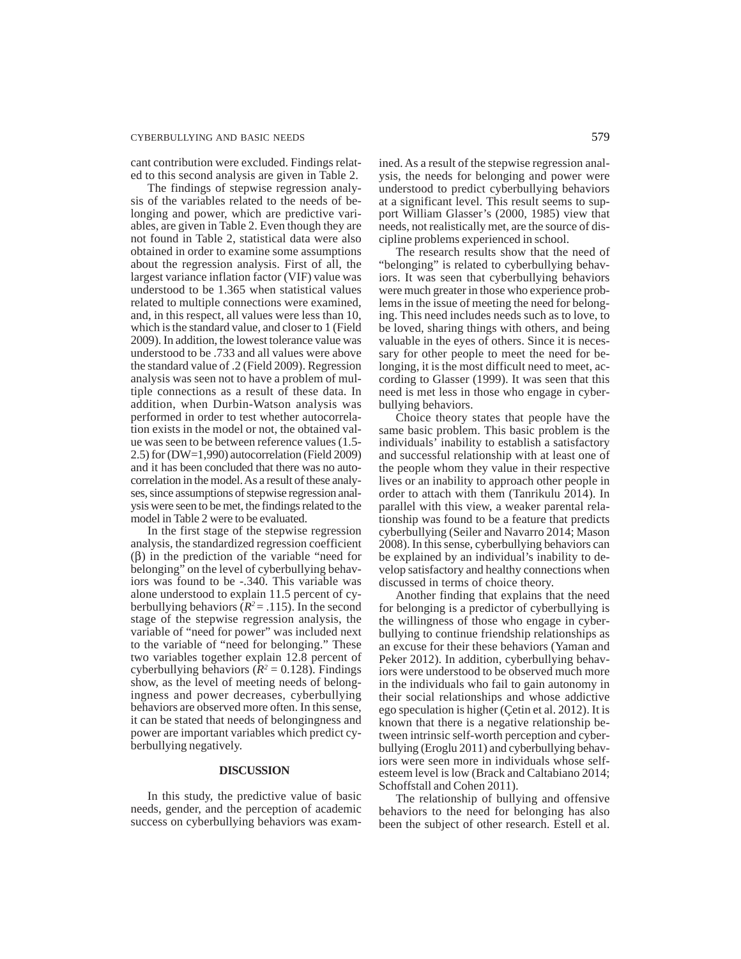cant contribution were excluded. Findings related to this second analysis are given in Table 2.

The findings of stepwise regression analysis of the variables related to the needs of belonging and power, which are predictive variables, are given in Table 2. Even though they are not found in Table 2, statistical data were also obtained in order to examine some assumptions about the regression analysis. First of all, the largest variance inflation factor (VIF) value was understood to be 1.365 when statistical values related to multiple connections were examined, and, in this respect, all values were less than 10, which is the standard value, and closer to 1 (Field 2009). In addition, the lowest tolerance value was understood to be .733 and all values were above the standard value of .2 (Field 2009). Regression analysis was seen not to have a problem of multiple connections as a result of these data. In addition, when Durbin-Watson analysis was performed in order to test whether autocorrelation exists in the model or not, the obtained value was seen to be between reference values (1.5- 2.5) for (DW=1,990) autocorrelation (Field 2009) and it has been concluded that there was no autocorrelation in the model. As a result of these analyses, since assumptions of stepwise regression analysis were seen to be met, the findings related to the model in Table 2 were to be evaluated.

In the first stage of the stepwise regression analysis, the standardized regression coefficient (β) in the prediction of the variable "need for belonging" on the level of cyberbullying behaviors was found to be -.340. This variable was alone understood to explain 11.5 percent of cyberbullying behaviors ( $R^2 = .115$ ). In the second stage of the stepwise regression analysis, the variable of "need for power" was included next to the variable of "need for belonging." These two variables together explain 12.8 percent of cyberbullying behaviors ( $R^2 = 0.128$ ). Findings show, as the level of meeting needs of belongingness and power decreases, cyberbullying behaviors are observed more often. In this sense, it can be stated that needs of belongingness and power are important variables which predict cyberbullying negatively.

## **DISCUSSION**

In this study, the predictive value of basic needs, gender, and the perception of academic success on cyberbullying behaviors was examined. As a result of the stepwise regression analysis, the needs for belonging and power were understood to predict cyberbullying behaviors at a significant level. This result seems to support William Glasser's (2000, 1985) view that needs, not realistically met, are the source of discipline problems experienced in school.

The research results show that the need of "belonging" is related to cyberbullying behaviors. It was seen that cyberbullying behaviors were much greater in those who experience problems in the issue of meeting the need for belonging. This need includes needs such as to love, to be loved, sharing things with others, and being valuable in the eyes of others. Since it is necessary for other people to meet the need for belonging, it is the most difficult need to meet, according to Glasser (1999). It was seen that this need is met less in those who engage in cyberbullying behaviors.

Choice theory states that people have the same basic problem. This basic problem is the individuals' inability to establish a satisfactory and successful relationship with at least one of the people whom they value in their respective lives or an inability to approach other people in order to attach with them (Tanrikulu 2014). In parallel with this view, a weaker parental relationship was found to be a feature that predicts cyberbullying (Seiler and Navarro 2014; Mason 2008). In this sense, cyberbullying behaviors can be explained by an individual's inability to develop satisfactory and healthy connections when discussed in terms of choice theory.

Another finding that explains that the need for belonging is a predictor of cyberbullying is the willingness of those who engage in cyberbullying to continue friendship relationships as an excuse for their these behaviors (Yaman and Peker 2012). In addition, cyberbullying behaviors were understood to be observed much more in the individuals who fail to gain autonomy in their social relationships and whose addictive ego speculation is higher (Çetin et al. 2012). It is known that there is a negative relationship between intrinsic self-worth perception and cyberbullying (Eroglu 2011) and cyberbullying behaviors were seen more in individuals whose selfesteem level is low (Brack and Caltabiano 2014; Schoffstall and Cohen 2011).

The relationship of bullying and offensive behaviors to the need for belonging has also been the subject of other research. Estell et al.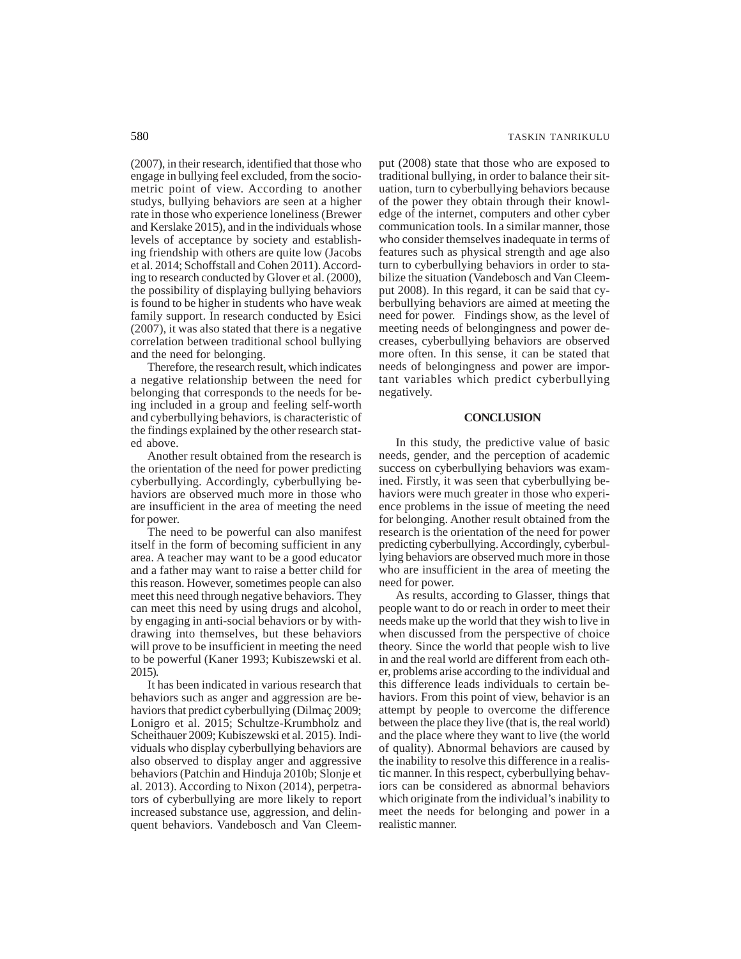(2007), in their research, identified that those who engage in bullying feel excluded, from the sociometric point of view. According to another studys, bullying behaviors are seen at a higher rate in those who experience loneliness (Brewer and Kerslake 2015), and in the individuals whose levels of acceptance by society and establishing friendship with others are quite low (Jacobs et al. 2014; Schoffstall and Cohen 2011). According to research conducted by Glover et al. (2000), the possibility of displaying bullying behaviors is found to be higher in students who have weak family support. In research conducted by Esici (2007), it was also stated that there is a negative correlation between traditional school bullying and the need for belonging.

Therefore, the research result, which indicates a negative relationship between the need for belonging that corresponds to the needs for being included in a group and feeling self-worth and cyberbullying behaviors, is characteristic of the findings explained by the other research stated above.

Another result obtained from the research is the orientation of the need for power predicting cyberbullying. Accordingly, cyberbullying behaviors are observed much more in those who are insufficient in the area of meeting the need for power.

The need to be powerful can also manifest itself in the form of becoming sufficient in any area. A teacher may want to be a good educator and a father may want to raise a better child for this reason. However, sometimes people can also meet this need through negative behaviors. They can meet this need by using drugs and alcohol, by engaging in anti-social behaviors or by withdrawing into themselves, but these behaviors will prove to be insufficient in meeting the need to be powerful (Kaner 1993; Kubiszewski et al. 2015).

It has been indicated in various research that behaviors such as anger and aggression are behaviors that predict cyberbullying (Dilmaç 2009; Lonigro et al. 2015; Schultze-Krumbholz and Scheithauer 2009; Kubiszewski et al. 2015). Individuals who display cyberbullying behaviors are also observed to display anger and aggressive behaviors (Patchin and Hinduja 2010b; Slonje et al. 2013). According to Nixon (2014), perpetrators of cyberbullying are more likely to report increased substance use, aggression, and delinquent behaviors. Vandebosch and Van Cleemput (2008) state that those who are exposed to traditional bullying, in order to balance their situation, turn to cyberbullying behaviors because of the power they obtain through their knowledge of the internet, computers and other cyber communication tools. In a similar manner, those who consider themselves inadequate in terms of features such as physical strength and age also turn to cyberbullying behaviors in order to stabilize the situation (Vandebosch and Van Cleemput 2008). In this regard, it can be said that cyberbullying behaviors are aimed at meeting the need for power. Findings show, as the level of meeting needs of belongingness and power decreases, cyberbullying behaviors are observed more often. In this sense, it can be stated that needs of belongingness and power are important variables which predict cyberbullying negatively.

#### **CONCLUSION**

In this study, the predictive value of basic needs, gender, and the perception of academic success on cyberbullying behaviors was examined. Firstly, it was seen that cyberbullying behaviors were much greater in those who experience problems in the issue of meeting the need for belonging. Another result obtained from the research is the orientation of the need for power predicting cyberbullying. Accordingly, cyberbullying behaviors are observed much more in those who are insufficient in the area of meeting the need for power.

As results, according to Glasser, things that people want to do or reach in order to meet their needs make up the world that they wish to live in when discussed from the perspective of choice theory. Since the world that people wish to live in and the real world are different from each other, problems arise according to the individual and this difference leads individuals to certain behaviors. From this point of view, behavior is an attempt by people to overcome the difference between the place they live (that is, the real world) and the place where they want to live (the world of quality). Abnormal behaviors are caused by the inability to resolve this difference in a realistic manner. In this respect, cyberbullying behaviors can be considered as abnormal behaviors which originate from the individual's inability to meet the needs for belonging and power in a realistic manner.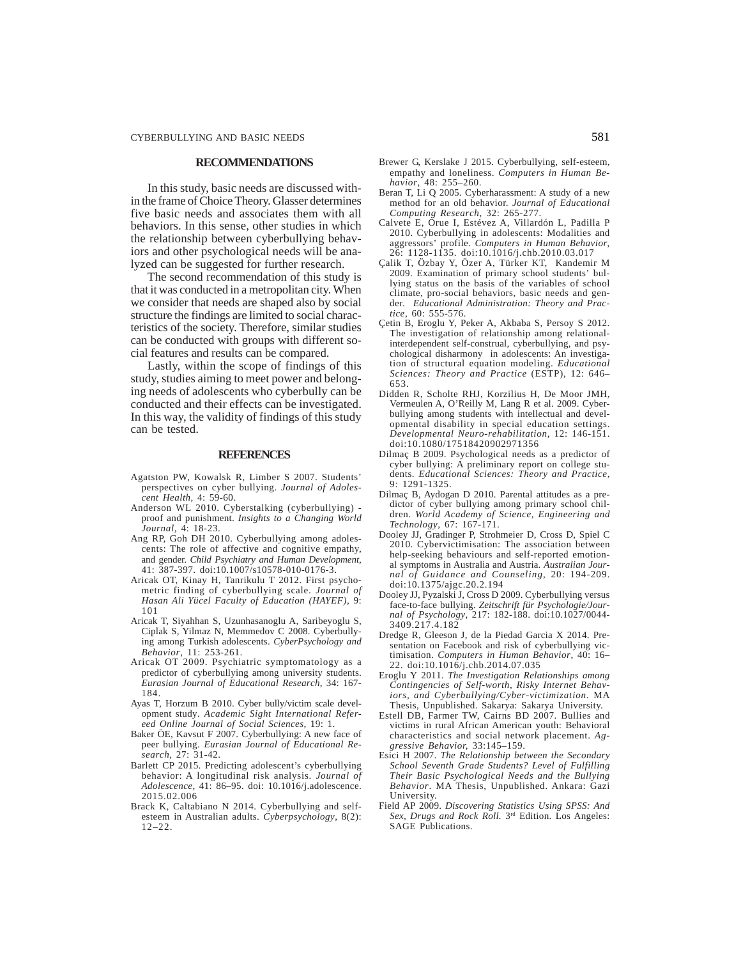#### **RECOMMENDATIONS**

In this study, basic needs are discussed within the frame of Choice Theory. Glasser determines five basic needs and associates them with all behaviors. In this sense, other studies in which the relationship between cyberbullying behaviors and other psychological needs will be analyzed can be suggested for further research.

The second recommendation of this study is that it was conducted in a metropolitan city. When we consider that needs are shaped also by social structure the findings are limited to social characteristics of the society. Therefore, similar studies can be conducted with groups with different social features and results can be compared.

Lastly, within the scope of findings of this study, studies aiming to meet power and belonging needs of adolescents who cyberbully can be conducted and their effects can be investigated. In this way, the validity of findings of this study can be tested.

#### **REFERENCES**

- Agatston PW, Kowalsk R, Limber S 2007. Students' perspectives on cyber bullying. *Journal of Adolescent Health,* 4: 59-60.
- Anderson WL 2010. Cyberstalking (cyberbullying) proof and punishment. *Insights to a Changing World Journal,* 4: 18-23.
- Ang RP, Goh DH 2010. Cyberbullying among adolescents: The role of affective and cognitive empathy, and gender. *Child Psychiatry and Human Development*, 41: 387-397. doi:10.1007/s10578-010-0176-3.
- Aricak OT, Kinay H, Tanrikulu T 2012. First psychometric finding of cyberbullying scale. *Journal of Hasan Ali Yücel Faculty of Education (HAYEF),* 9: 101
- Aricak T, Siyahhan S, Uzunhasanoglu A, Saribeyoglu S, Ciplak S, Yilmaz N, Memmedov C 2008. Cyberbullying among Turkish adolescents. *CyberPsychology and Behavior*, 11: 253-261.
- Aricak OT 2009. Psychiatric symptomatology as a predictor of cyberbullying among university students. *Eurasian Journal of Educational Research*, 34: 167- 184.
- Ayas T, Horzum B 2010. Cyber bully/victim scale development study. *Academic Sight International Refereed Online Journal of Social Sciences,* 19: 1.
- Baker ÖE, Kavsut F 2007. Cyberbullying: A new face of peer bullying. *Eurasian Journal of Educational Research,* 27: 31-42.
- Barlett CP 2015. Predicting adolescent's cyberbullying behavior: A longitudinal risk analysis. *Journal of Adolescence*, 41: 86–95. doi: 10.1016/j.adolescence. 2015.02.006
- Brack K, Caltabiano N 2014. Cyberbullying and selfesteem in Australian adults. *Cyberpsychology*, 8(2): 12–22.
- Brewer G, Kerslake J 2015. Cyberbullying, self-esteem, empathy and loneliness. *Computers in Human Behavior*, 48: 255–260.
- Beran T, Li Q 2005. Cyberharassment: A study of a new method for an old behavior. *Journal of Educational Computing Research*, 32: 265-277.
- Calvete E, Orue I, Estévez A, Villardón L, Padilla P 2010. Cyberbullying in adolescents: Modalities and aggressors' profile. *Computers in Human Behavior*, 26: 1128-1135. doi:10.1016/j.chb.2010.03.017
- Çalik T, Özbay Y, Özer A, Türker KT, Kandemir M 2009. Examination of primary school students' bullying status on the basis of the variables of school climate, pro-social behaviors, basic needs and gender*. Educational Administration: Theory and Practice*, 60: 555-576.
- Çetin B, Eroglu Y, Peker A, Akbaba S, Persoy S 2012. The investigation of relationship among relationalinterdependent self-construal, cyberbullying, and psychological disharmony in adolescents: An investigation of structural equation modeling. *Educational Sciences: Theory and Practice* (ESTP), 12: 646– 653.
- Didden R, Scholte RHJ, Korzilius H, De Moor JMH, Vermeulen A, O'Reilly M, Lang R et al. 2009. Cyberbullying among students with intellectual and developmental disability in special education settings. *Developmental Neuro-rehabilitation*, 12: 146-151. doi:10.1080/17518420902971356
- Dilmaç B 2009. Psychological needs as a predictor of cyber bullying: A preliminary report on college students. *Educational Sciences: Theory and Practice,* 9: 1291-1325.
- Dilmaç B, Aydogan D 2010. Parental attitudes as a predictor of cyber bullying among primary school children. *World Academy of Science, Engineering and Technology*, 67: 167-171.
- Dooley JJ, Gradinger P, Strohmeier D, Cross D, Spiel C 2010. Cybervictimisation: The association between help-seeking behaviours and self-reported emotional symptoms in Australia and Austria. *Australian Journal of Guidance and Counseling*, 20: 194-209. doi:10.1375/ajgc.20.2.194
- Dooley JJ, Pyzalski J, Cross D 2009. Cyberbullying versus face-to-face bullying. *Zeitschrift für Psychologie/Journal of Psychology*, 217: 182-188. doi:10.1027/0044- 3409.217.4.182
- Dredge R, Gleeson J, de la Piedad Garcia X 2014. Presentation on Facebook and risk of cyberbullying victimisation. *Computers in Human Behavior*, 40: 16– 22. doi:10.1016/j.chb.2014.07.035
- Eroglu Y 2011. *The Investigation Relationships among Contingencies of Self-worth, Risky Internet Behaviors, and Cyberbullying/Cyber-victimization.* MA Thesis, Unpublished. Sakarya: Sakarya University.
- Estell DB, Farmer TW, Cairns BD 2007. Bullies and victims in rural African American youth: Behavioral characteristics and social network placement. *Aggressive Behavior,* 33:145–159.
- Esici H 2007. *The Relationship between the Secondary School Seventh Grade Students? Level of Fulfilling Their Basic Psychological Needs and the Bullying Behavior*. MA Thesis, Unpublished. Ankara: Gazi University.
- Field AP 2009. *Discovering Statistics Using SPSS: And Sex, Drugs and Rock Roll.* 3rd Edition. Los Angeles: SAGE Publications.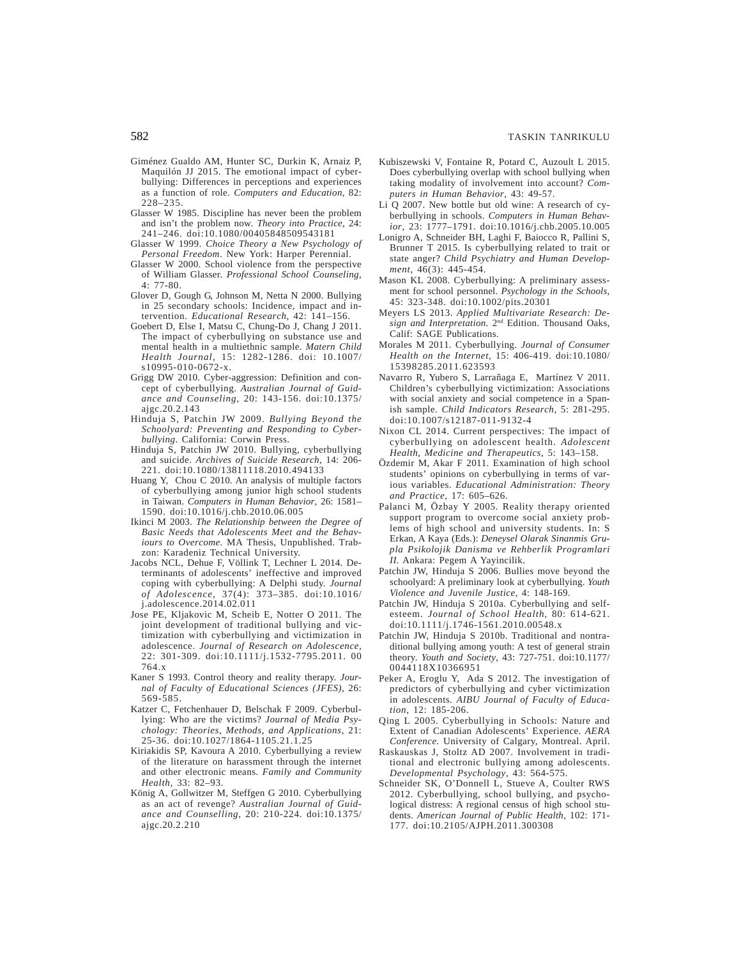- Giménez Gualdo AM, Hunter SC, Durkin K, Arnaiz P, Maquilón JJ 2015. The emotional impact of cyberbullying: Differences in perceptions and experiences as a function of role. *Computers and Education*, 82: 228–235.
- Glasser W 1985. Discipline has never been the problem and isn't the problem now. *Theory into Practice*, 24: 241–246. doi:10.1080/00405848509543181
- Glasser W 1999. *Choice Theory a New Psychology of Personal Freedom*. New York: Harper Perennial.
- Glasser W 2000. School violence from the perspective of William Glasser. *Professional School Counseling,* 4: 77-80.
- Glover D, Gough G, Johnson M, Netta N 2000. Bullying in 25 secondary schools: Incidence, impact and intervention. *Educational Research*, 42: 141–156.
- Goebert D, Else I, Matsu C, Chung-Do J, Chang J 2011. The impact of cyberbullying on substance use and mental health in a multiethnic sample. *Matern Child Health Journal,* 15: 1282-1286. doi: 10.1007/ s10995-010-0672-x.
- Grigg DW 2010. Cyber-aggression: Definition and concept of cyberbullying. *Australian Journal of Guidance and Counseling*, 20: 143-156. doi:10.1375/ ajgc.20.2.143
- Hinduja S, Patchin JW 2009. *Bullying Beyond the Schoolyard: Preventing and Responding to Cyberbullying*. California: Corwin Press.
- Hinduja S, Patchin JW 2010. Bullying, cyberbullying and suicide. *Archives of Suicide Research*, 14: 206- 221. doi:10.1080/13811118.2010.494133
- Huang Y, Chou C 2010. An analysis of multiple factors of cyberbullying among junior high school students in Taiwan. *Computers in Human Behavior*, 26: 1581– 1590. doi:10.1016/j.chb.2010.06.005
- Ikinci M 2003. *The Relationship between the Degree of Basic Needs that Adolescents Meet and the Behaviours to Overcome.* MA Thesis, Unpublished. Trabzon: Karadeniz Technical University.
- Jacobs NCL, Dehue F, Völlink T, Lechner L 2014. Determinants of adolescents' ineffective and improved coping with cyberbullying: A Delphi study. *Journal of Adolescence*, 37(4): 373–385. doi:10.1016/ j.adolescence.2014.02.011
- Jose PE, Kljakovic M, Scheib E, Notter O 2011. The joint development of traditional bullying and victimization with cyberbullying and victimization in adolescence. *Journal of Research on Adolescence*, 22: 301-309. doi:10.1111/j.1532-7795.2011. 00 764.x
- Kaner S 1993. Control theory and reality therapy. *Journal of Faculty of Educational Sciences (JFES),* 26: 569-585.
- Katzer C, Fetchenhauer D, Belschak F 2009. Cyberbullying: Who are the victims? *Journal of Media Psychology: Theories, Methods, and Applications*, 21: 25-36. doi:10.1027/1864-1105.21.1.25
- Kiriakidis SP, Kavoura A 2010. Cyberbullying a review of the literature on harassment through the internet and other electronic means. *Family and Community Health*, 33: 82–93.
- König A, Gollwitzer M, Steffgen G 2010. Cyberbullying as an act of revenge? *Australian Journal of Guidance and Counselling*, 20: 210-224. doi:10.1375/ ajgc.20.2.210
- Kubiszewski V, Fontaine R, Potard C, Auzoult L 2015. Does cyberbullying overlap with school bullying when taking modality of involvement into account? *Computers in Human Behavior*, 43: 49-57.
- Li Q 2007. New bottle but old wine: A research of cyberbullying in schools. *Computers in Human Behavior*, 23: 1777–1791. doi:10.1016/j.chb.2005.10.005
- Lonigro A, Schneider BH, Laghi F, Baiocco R, Pallini S, Brunner T 2015. Is cyberbullying related to trait or state anger? *Child Psychiatry and Human Development*, 46(3): 445-454.
- Mason KL 2008. Cyberbullying: A preliminary assessment for school personnel. *Psychology in the Schools*, 45: 323-348. doi:10.1002/pits.20301
- Meyers LS 2013. *Applied Multivariate Research: Design and Interpretation.* 2nd Edition. Thousand Oaks, Calif: SAGE Publications.
- Morales M 2011. Cyberbullying. *Journal of Consumer Health on the Internet*, 15: 406-419. doi:10.1080/ 15398285.2011.623593
- Navarro R, Yubero S, Larrañaga E, Martínez V 2011. Children's cyberbullying victimization: Associations with social anxiety and social competence in a Spanish sample. *Child Indicators Research*, 5: 281-295. doi:10.1007/s12187-011-9132-4
- Nixon CL 2014. Current perspectives: The impact of cyberbullying on adolescent health. *Adolescent Health, Medicine and Therapeutics*, 5: 143–158.
- Özdemir M, Akar F 2011. Examination of high school students' opinions on cyberbullying in terms of various variables. *Educational Administration: Theory and Practice*, 17: 605–626.
- Palanci M, Özbay Y 2005. Reality therapy oriented support program to overcome social anxiety problems of high school and university students. In: S Erkan, A Kaya (Eds.): *Deneysel Olarak Sinanmis Grupla Psikolojik Danisma ve Rehberlik Programlari II.* Ankara: Pegem A Yayincilik.
- Patchin JW, Hinduja S 2006. Bullies move beyond the schoolyard: A preliminary look at cyberbullying. *Youth Violence and Juvenile Justice,* 4: 148-169.
- Patchin JW, Hinduja S 2010a. Cyberbullying and selfesteem. *Journal of School Health*, 80: 614-621. doi:10.1111/j.1746-1561.2010.00548.x
- Patchin JW, Hinduja S 2010b. Traditional and nontraditional bullying among youth: A test of general strain theory. *Youth and Society*, 43: 727-751. doi:10.1177/ 0044118X10366951
- Peker A, Eroglu Y, Ada S 2012. The investigation of predictors of cyberbullying and cyber victimization in adolescents*. AIBU Journal of Faculty of Education,* 12: 185-206.
- Qing L 2005. Cyberbullying in Schools: Nature and Extent of Canadian Adolescents' Experience. *AERA Conference.* University of Calgary, Montreal. April.
- Raskauskas J, Stoltz AD 2007. Involvement in traditional and electronic bullying among adolescents. *Developmental Psychology*, 43: 564-575.
- Schneider SK, O'Donnell L, Stueve A, Coulter RWS 2012. Cyberbullying, school bullying, and psychological distress: A regional census of high school students. *American Journal of Public Health*, 102: 171- 177. doi:10.2105/AJPH.2011.300308